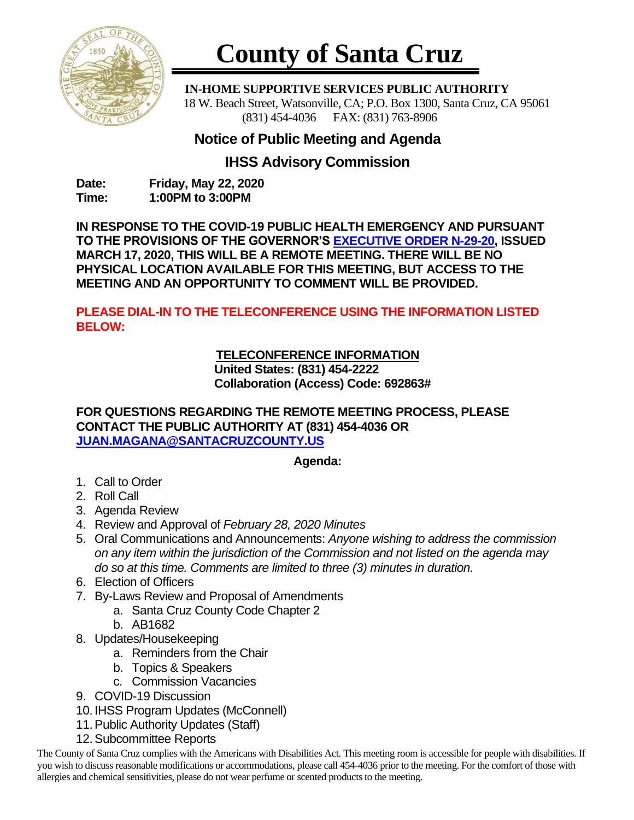

# **County of Santa Cruz**

 **IN-HOME SUPPORTIVE SERVICES PUBLIC AUTHORITY** 18 W. Beach Street, Watsonville, CA; P.O. Box 1300, Santa Cruz, CA 95061 (831) 454-4036 FAX: (831) 763-8906

## **Notice of Public Meeting and Agenda**

#### **IHSS Advisory Commission**

**Date: Friday, May 22, 2020 Time: 1:00PM to 3:00PM**

**IN RESPONSE TO THE COVID-19 PUBLIC HEALTH EMERGENCY AND PURSUANT TO THE PROVISIONS OF THE GOVERNOR'S [EXECUTIVE ORDER N-29-20,](https://www.gov.ca.gov/wp-content/uploads/2020/03/3.17.20-N-29-20-EO.pdf) ISSUED MARCH 17, 2020, THIS WILL BE A REMOTE MEETING. THERE WILL BE NO PHYSICAL LOCATION AVAILABLE FOR THIS MEETING, BUT ACCESS TO THE MEETING AND AN OPPORTUNITY TO COMMENT WILL BE PROVIDED.**

**PLEASE DIAL-IN TO THE TELECONFERENCE USING THE INFORMATION LISTED BELOW:**

### **TELECONFERENCE INFORMATION**

**United States: (831) 454-2222 Collaboration (Access) Code: 692863#**

#### **FOR QUESTIONS REGARDING THE REMOTE MEETING PROCESS, PLEASE CONTACT THE PUBLIC AUTHORITY AT (831) 454-4036 OR [JUAN.MAGANA@SANTACRUZCOUNTY.US](mailto:JUAN.MAGANA@SANTACRUZCOUNTY.US)**

#### **Agenda:**

- 1. Call to Order
- 2. Roll Call
- 3. Agenda Review
- 4. Review and Approval of *February 28, 2020 Minutes*
- 5. Oral Communications and Announcements: *Anyone wishing to address the commission on any item within the jurisdiction of the Commission and not listed on the agenda may do so at this time. Comments are limited to three (3) minutes in duration.*
- 6. Election of Officers
- 7. By-Laws Review and Proposal of Amendments
	- a. Santa Cruz County Code Chapter 2
	- b. AB1682
- 8. Updates/Housekeeping
	- a. Reminders from the Chair
	- b. Topics & Speakers
	- c. Commission Vacancies
- 9. COVID-19 Discussion
- 10. IHSS Program Updates (McConnell)
- 11.Public Authority Updates (Staff)
- 12.Subcommittee Reports

The County of Santa Cruz complies with the Americans with Disabilities Act. This meeting room is accessible for people with disabilities. If you wish to discuss reasonable modifications or accommodations, please call 454-4036 prior to the meeting. For the comfort of those with allergies and chemical sensitivities, please do not wear perfume or scented products to the meeting.